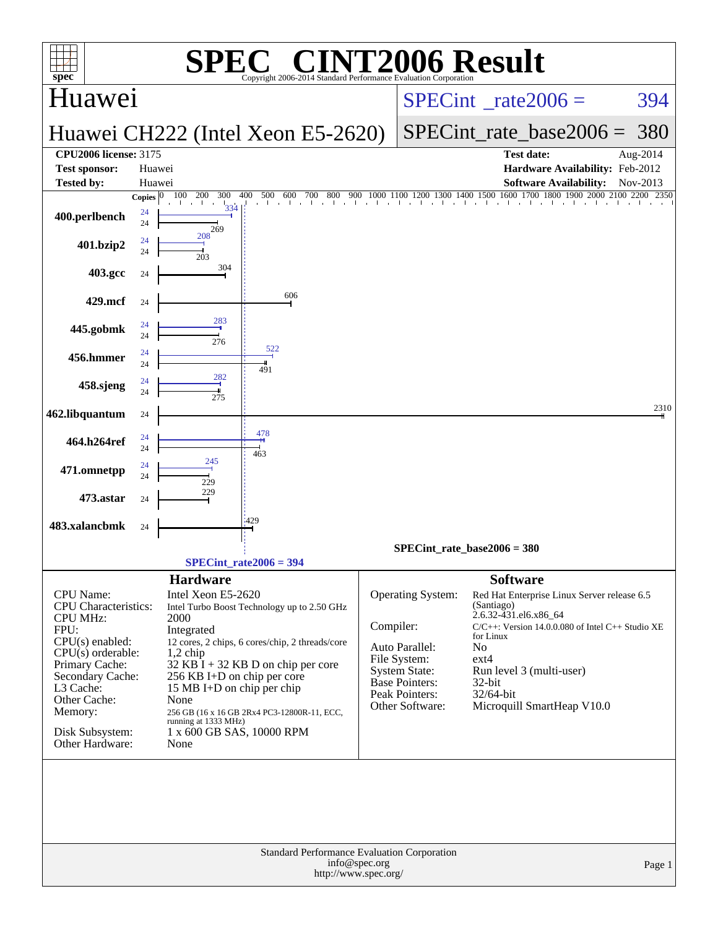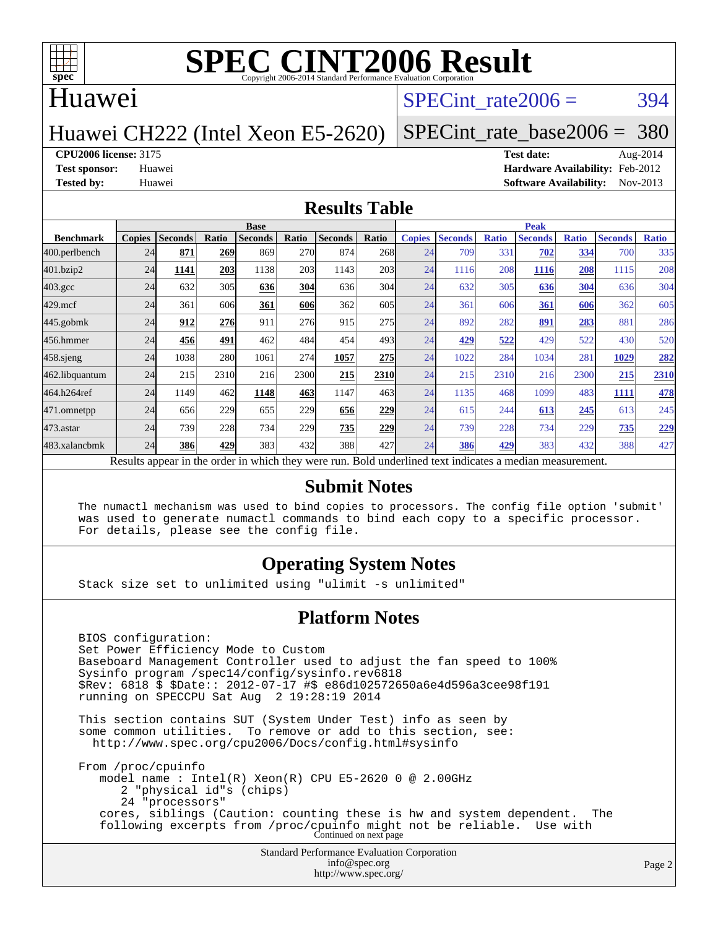

#### Huawei

#### SPECint rate $2006 = 394$

#### Huawei CH222 (Intel Xeon E5-2620)

### [SPECint\\_rate\\_base2006 =](http://www.spec.org/auto/cpu2006/Docs/result-fields.html#SPECintratebase2006) 380

#### **[CPU2006 license:](http://www.spec.org/auto/cpu2006/Docs/result-fields.html#CPU2006license)** 3175 **[Test date:](http://www.spec.org/auto/cpu2006/Docs/result-fields.html#Testdate)** Aug-2014

**[Test sponsor:](http://www.spec.org/auto/cpu2006/Docs/result-fields.html#Testsponsor)** Huawei **[Hardware Availability:](http://www.spec.org/auto/cpu2006/Docs/result-fields.html#HardwareAvailability)** Feb-2012 **[Tested by:](http://www.spec.org/auto/cpu2006/Docs/result-fields.html#Testedby)** Huawei **[Software Availability:](http://www.spec.org/auto/cpu2006/Docs/result-fields.html#SoftwareAvailability)** Nov-2013

#### **[Results Table](http://www.spec.org/auto/cpu2006/Docs/result-fields.html#ResultsTable)**

|                    | <b>Base</b>   |                |       |                |                 |                                                                                                          |       | <b>Peak</b>   |                |              |                |              |                |              |
|--------------------|---------------|----------------|-------|----------------|-----------------|----------------------------------------------------------------------------------------------------------|-------|---------------|----------------|--------------|----------------|--------------|----------------|--------------|
| <b>Benchmark</b>   | <b>Copies</b> | <b>Seconds</b> | Ratio | <b>Seconds</b> | Ratio           | <b>Seconds</b>                                                                                           | Ratio | <b>Copies</b> | <b>Seconds</b> | <b>Ratio</b> | <b>Seconds</b> | <b>Ratio</b> | <b>Seconds</b> | <b>Ratio</b> |
| 400.perlbench      | 24            | 871            | 269   | 869            | <b>270</b>      | 874                                                                                                      | 268   | 24            | 709            | 331          | 702            | 334          | 700            | 335          |
| 401.bzip2          | 24            | 1141           | 203   | 1138           | 203             | 1143                                                                                                     | 203   | 24            | 1116           | 208          | 1116           | 208          | 1115           | 208          |
| $403.\mathrm{gcc}$ | 24            | 632            | 305   | 636            | 304             | 636                                                                                                      | 304   | 24            | 632            | 305          | 636            | 304          | 636            | 304          |
| $429$ .mcf         | 24            | 361            | 606   | 361            | 606             | 362                                                                                                      | 605   | 24            | 361            | 606          | 361            | 606          | 362            | 605          |
| $445$ .gobmk       | 24            | 912            | 276   | 911            | 27 <sub>6</sub> | 915                                                                                                      | 275   | 24            | 892            | 282          | 891            | 283          | 881            | 286          |
| 456.hmmer          | 24            | 456            | 491   | 462            | 484             | 454                                                                                                      | 493   | 24            | 429            | 522          | 429            | 522          | 430            | 520          |
| $458$ .sjeng       | 24            | 1038           | 280   | 1061           | 274             | 1057                                                                                                     | 275   | 24            | 1022           | 284          | 1034           | 281          | 1029           | 282          |
| 462.libquantum     | 24            | 215            | 2310  | 216            | 2300            | 215                                                                                                      | 2310  | 24            | 215            | 2310         | 216            | 2300         | 215            | 2310         |
| 464.h264ref        | 24            | 1149           | 462   | 1148           | 463             | 1147                                                                                                     | 463   | 24            | 1135           | 468          | 1099           | 483          | 1111           | 478          |
| 471.omnetpp        | 24            | 656            | 229   | 655            | 229             | 656                                                                                                      | 229   | 24            | 615            | 244          | 613            | 245          | 613            | 245          |
| $473$ . astar      | 24            | 739            | 228   | 734            | 229             | 735                                                                                                      | 229   | 24            | 739            | 228          | 734            | 229          | 735            | <u>229</u>   |
| 483.xalancbmk      | 24            | 386            | 429   | 383            | 432             | 388                                                                                                      | 427   | 24            | 386            | 429          | 383            | 432          | 388            | 427          |
|                    |               |                |       |                |                 | Results appear in the order in which they were run. Bold underlined text indicates a median measurement. |       |               |                |              |                |              |                |              |

#### **[Submit Notes](http://www.spec.org/auto/cpu2006/Docs/result-fields.html#SubmitNotes)**

 The numactl mechanism was used to bind copies to processors. The config file option 'submit' was used to generate numactl commands to bind each copy to a specific processor. For details, please see the config file.

#### **[Operating System Notes](http://www.spec.org/auto/cpu2006/Docs/result-fields.html#OperatingSystemNotes)**

Stack size set to unlimited using "ulimit -s unlimited"

#### **[Platform Notes](http://www.spec.org/auto/cpu2006/Docs/result-fields.html#PlatformNotes)**

 BIOS configuration: Set Power Efficiency Mode to Custom Baseboard Management Controller used to adjust the fan speed to 100% Sysinfo program /spec14/config/sysinfo.rev6818 \$Rev: 6818 \$ \$Date:: 2012-07-17 #\$ e86d102572650a6e4d596a3cee98f191 running on SPECCPU Sat Aug 2 19:28:19 2014 This section contains SUT (System Under Test) info as seen by some common utilities. To remove or add to this section, see: <http://www.spec.org/cpu2006/Docs/config.html#sysinfo> From /proc/cpuinfo model name : Intel(R) Xeon(R) CPU E5-2620 0 @ 2.00GHz 2 "physical id"s (chips) 24 "processors" cores, siblings (Caution: counting these is hw and system dependent. The following excerpts from /proc/cpuinfo might not be reliable. Use with Continued on next page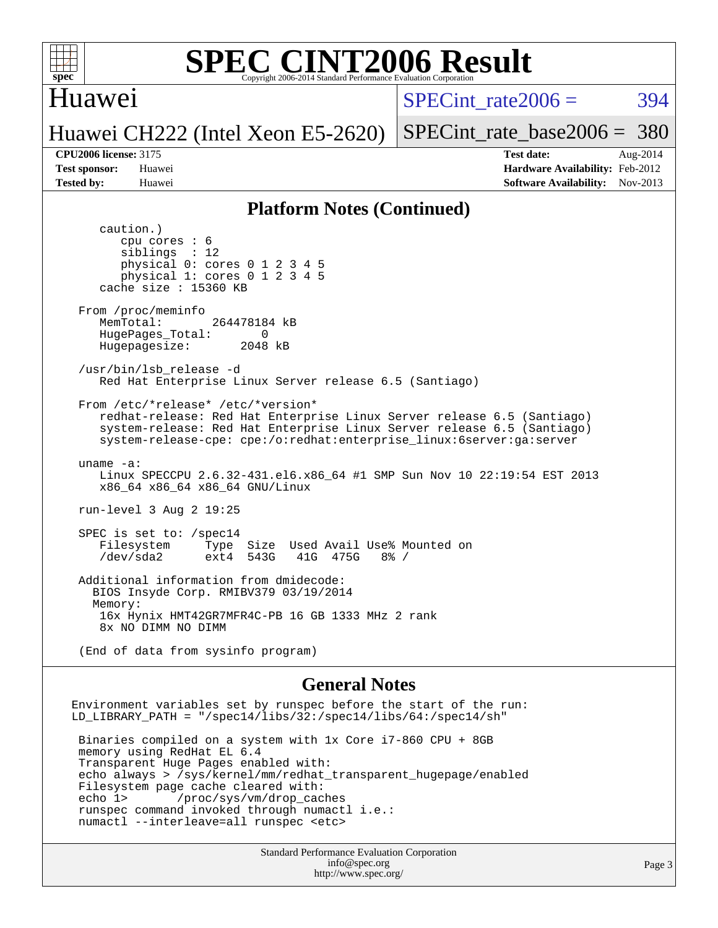

#### Huawei

SPECint rate $2006 = 394$ 

Huawei CH222 (Intel Xeon E5-2620)

[SPECint\\_rate\\_base2006 =](http://www.spec.org/auto/cpu2006/Docs/result-fields.html#SPECintratebase2006) 380

**[CPU2006 license:](http://www.spec.org/auto/cpu2006/Docs/result-fields.html#CPU2006license)** 3175 **[Test date:](http://www.spec.org/auto/cpu2006/Docs/result-fields.html#Testdate)** Aug-2014 **[Test sponsor:](http://www.spec.org/auto/cpu2006/Docs/result-fields.html#Testsponsor)** Huawei **[Hardware Availability:](http://www.spec.org/auto/cpu2006/Docs/result-fields.html#HardwareAvailability)** Feb-2012 **[Tested by:](http://www.spec.org/auto/cpu2006/Docs/result-fields.html#Testedby)** Huawei **[Software Availability:](http://www.spec.org/auto/cpu2006/Docs/result-fields.html#SoftwareAvailability)** Nov-2013

#### **[Platform Notes \(Continued\)](http://www.spec.org/auto/cpu2006/Docs/result-fields.html#PlatformNotes)**

 caution.) cpu cores : 6 siblings : 12 physical 0: cores 0 1 2 3 4 5 physical 1: cores 0 1 2 3 4 5 cache size : 15360 KB From /proc/meminfo MemTotal: 264478184 kB HugePages\_Total: 0<br>Hugepagesize: 2048 kB Hugepagesize: /usr/bin/lsb\_release -d Red Hat Enterprise Linux Server release 6.5 (Santiago) From /etc/\*release\* /etc/\*version\* redhat-release: Red Hat Enterprise Linux Server release 6.5 (Santiago) system-release: Red Hat Enterprise Linux Server release 6.5 (Santiago) system-release-cpe: cpe:/o:redhat:enterprise\_linux:6server:ga:server uname -a: Linux SPECCPU 2.6.32-431.el6.x86\_64 #1 SMP Sun Nov 10 22:19:54 EST 2013 x86\_64 x86\_64 x86\_64 GNU/Linux run-level 3 Aug 2 19:25 SPEC is set to: /spec14 Filesystem Type Size Used Avail Use% Mounted on<br>
/dev/sda2 ext4 543G 41G 475G 8% / 41G 475G Additional information from dmidecode: BIOS Insyde Corp. RMIBV379 03/19/2014 Memory: 16x Hynix HMT42GR7MFR4C-PB 16 GB 1333 MHz 2 rank 8x NO DIMM NO DIMM (End of data from sysinfo program)

#### **[General Notes](http://www.spec.org/auto/cpu2006/Docs/result-fields.html#GeneralNotes)**

Environment variables set by runspec before the start of the run: LD\_LIBRARY\_PATH = "/spec14/libs/32:/spec14/libs/64:/spec14/sh"

 Binaries compiled on a system with 1x Core i7-860 CPU + 8GB memory using RedHat EL 6.4 Transparent Huge Pages enabled with: echo always > /sys/kernel/mm/redhat\_transparent\_hugepage/enabled Filesystem page cache cleared with: echo 1> /proc/sys/vm/drop\_caches runspec command invoked through numactl i.e.: numactl --interleave=all runspec <etc>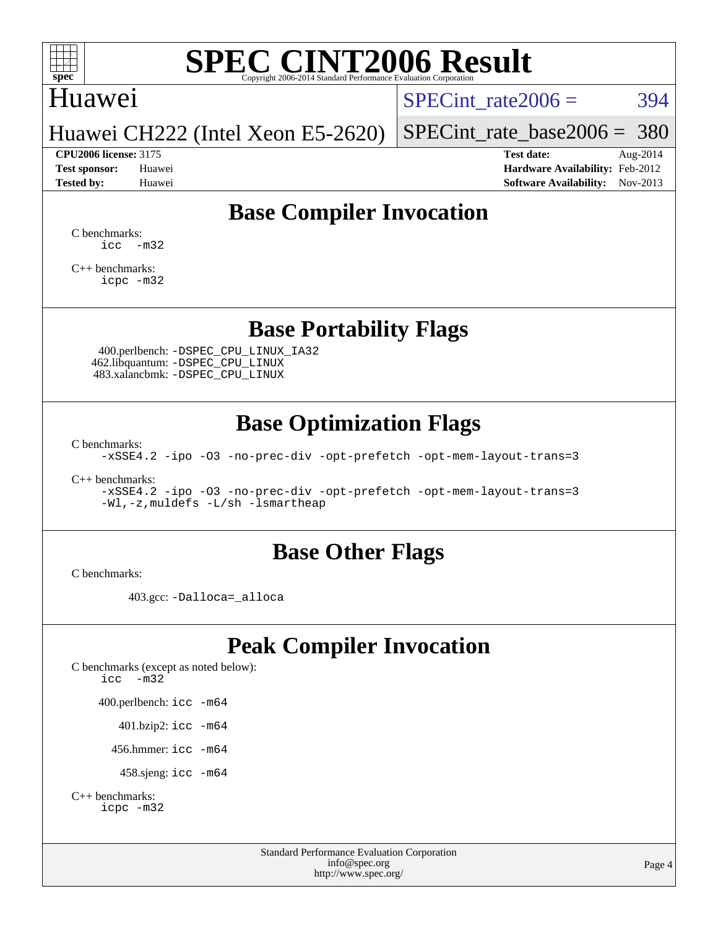

## Huawei

 $SPECTnt_rate2006 = 394$ 

Huawei CH222 (Intel Xeon E5-2620)

[SPECint\\_rate\\_base2006 =](http://www.spec.org/auto/cpu2006/Docs/result-fields.html#SPECintratebase2006) 380 **[CPU2006 license:](http://www.spec.org/auto/cpu2006/Docs/result-fields.html#CPU2006license)** 3175 **[Test date:](http://www.spec.org/auto/cpu2006/Docs/result-fields.html#Testdate)** Aug-2014

**[Test sponsor:](http://www.spec.org/auto/cpu2006/Docs/result-fields.html#Testsponsor)** Huawei **[Hardware Availability:](http://www.spec.org/auto/cpu2006/Docs/result-fields.html#HardwareAvailability)** Feb-2012 **[Tested by:](http://www.spec.org/auto/cpu2006/Docs/result-fields.html#Testedby)** Huawei **[Software Availability:](http://www.spec.org/auto/cpu2006/Docs/result-fields.html#SoftwareAvailability)** Nov-2013

### **[Base Compiler Invocation](http://www.spec.org/auto/cpu2006/Docs/result-fields.html#BaseCompilerInvocation)**

[C benchmarks](http://www.spec.org/auto/cpu2006/Docs/result-fields.html#Cbenchmarks):  $\text{icc}$   $-\text{m32}$ 

[C++ benchmarks:](http://www.spec.org/auto/cpu2006/Docs/result-fields.html#CXXbenchmarks) [icpc -m32](http://www.spec.org/cpu2006/results/res2014q3/cpu2006-20140807-30827.flags.html#user_CXXbase_intel_icpc_4e5a5ef1a53fd332b3c49e69c3330699)

#### **[Base Portability Flags](http://www.spec.org/auto/cpu2006/Docs/result-fields.html#BasePortabilityFlags)**

 400.perlbench: [-DSPEC\\_CPU\\_LINUX\\_IA32](http://www.spec.org/cpu2006/results/res2014q3/cpu2006-20140807-30827.flags.html#b400.perlbench_baseCPORTABILITY_DSPEC_CPU_LINUX_IA32) 462.libquantum: [-DSPEC\\_CPU\\_LINUX](http://www.spec.org/cpu2006/results/res2014q3/cpu2006-20140807-30827.flags.html#b462.libquantum_baseCPORTABILITY_DSPEC_CPU_LINUX) 483.xalancbmk: [-DSPEC\\_CPU\\_LINUX](http://www.spec.org/cpu2006/results/res2014q3/cpu2006-20140807-30827.flags.html#b483.xalancbmk_baseCXXPORTABILITY_DSPEC_CPU_LINUX)

### **[Base Optimization Flags](http://www.spec.org/auto/cpu2006/Docs/result-fields.html#BaseOptimizationFlags)**

[C benchmarks](http://www.spec.org/auto/cpu2006/Docs/result-fields.html#Cbenchmarks):

[-xSSE4.2](http://www.spec.org/cpu2006/results/res2014q3/cpu2006-20140807-30827.flags.html#user_CCbase_f-xSSE42_f91528193cf0b216347adb8b939d4107) [-ipo](http://www.spec.org/cpu2006/results/res2014q3/cpu2006-20140807-30827.flags.html#user_CCbase_f-ipo) [-O3](http://www.spec.org/cpu2006/results/res2014q3/cpu2006-20140807-30827.flags.html#user_CCbase_f-O3) [-no-prec-div](http://www.spec.org/cpu2006/results/res2014q3/cpu2006-20140807-30827.flags.html#user_CCbase_f-no-prec-div) [-opt-prefetch](http://www.spec.org/cpu2006/results/res2014q3/cpu2006-20140807-30827.flags.html#user_CCbase_f-opt-prefetch) [-opt-mem-layout-trans=3](http://www.spec.org/cpu2006/results/res2014q3/cpu2006-20140807-30827.flags.html#user_CCbase_f-opt-mem-layout-trans_a7b82ad4bd7abf52556d4961a2ae94d5)

[C++ benchmarks:](http://www.spec.org/auto/cpu2006/Docs/result-fields.html#CXXbenchmarks)

[-xSSE4.2](http://www.spec.org/cpu2006/results/res2014q3/cpu2006-20140807-30827.flags.html#user_CXXbase_f-xSSE42_f91528193cf0b216347adb8b939d4107) [-ipo](http://www.spec.org/cpu2006/results/res2014q3/cpu2006-20140807-30827.flags.html#user_CXXbase_f-ipo) [-O3](http://www.spec.org/cpu2006/results/res2014q3/cpu2006-20140807-30827.flags.html#user_CXXbase_f-O3) [-no-prec-div](http://www.spec.org/cpu2006/results/res2014q3/cpu2006-20140807-30827.flags.html#user_CXXbase_f-no-prec-div) [-opt-prefetch](http://www.spec.org/cpu2006/results/res2014q3/cpu2006-20140807-30827.flags.html#user_CXXbase_f-opt-prefetch) [-opt-mem-layout-trans=3](http://www.spec.org/cpu2006/results/res2014q3/cpu2006-20140807-30827.flags.html#user_CXXbase_f-opt-mem-layout-trans_a7b82ad4bd7abf52556d4961a2ae94d5) [-Wl,-z,muldefs](http://www.spec.org/cpu2006/results/res2014q3/cpu2006-20140807-30827.flags.html#user_CXXbase_link_force_multiple1_74079c344b956b9658436fd1b6dd3a8a) [-L/sh -lsmartheap](http://www.spec.org/cpu2006/results/res2014q3/cpu2006-20140807-30827.flags.html#user_CXXbase_SmartHeap_32f6c82aa1ed9c52345d30cf6e4a0499)

#### **[Base Other Flags](http://www.spec.org/auto/cpu2006/Docs/result-fields.html#BaseOtherFlags)**

[C benchmarks](http://www.spec.org/auto/cpu2006/Docs/result-fields.html#Cbenchmarks):

403.gcc: [-Dalloca=\\_alloca](http://www.spec.org/cpu2006/results/res2014q3/cpu2006-20140807-30827.flags.html#b403.gcc_baseEXTRA_CFLAGS_Dalloca_be3056838c12de2578596ca5467af7f3)

### **[Peak Compiler Invocation](http://www.spec.org/auto/cpu2006/Docs/result-fields.html#PeakCompilerInvocation)**

[C benchmarks \(except as noted below\)](http://www.spec.org/auto/cpu2006/Docs/result-fields.html#Cbenchmarksexceptasnotedbelow): [icc -m32](http://www.spec.org/cpu2006/results/res2014q3/cpu2006-20140807-30827.flags.html#user_CCpeak_intel_icc_5ff4a39e364c98233615fdd38438c6f2) 400.perlbench: [icc -m64](http://www.spec.org/cpu2006/results/res2014q3/cpu2006-20140807-30827.flags.html#user_peakCCLD400_perlbench_intel_icc_64bit_bda6cc9af1fdbb0edc3795bac97ada53) 401.bzip2: [icc -m64](http://www.spec.org/cpu2006/results/res2014q3/cpu2006-20140807-30827.flags.html#user_peakCCLD401_bzip2_intel_icc_64bit_bda6cc9af1fdbb0edc3795bac97ada53)

456.hmmer: [icc -m64](http://www.spec.org/cpu2006/results/res2014q3/cpu2006-20140807-30827.flags.html#user_peakCCLD456_hmmer_intel_icc_64bit_bda6cc9af1fdbb0edc3795bac97ada53)

458.sjeng: [icc -m64](http://www.spec.org/cpu2006/results/res2014q3/cpu2006-20140807-30827.flags.html#user_peakCCLD458_sjeng_intel_icc_64bit_bda6cc9af1fdbb0edc3795bac97ada53)

```
C++ benchmarks: 
    icpc -m32
```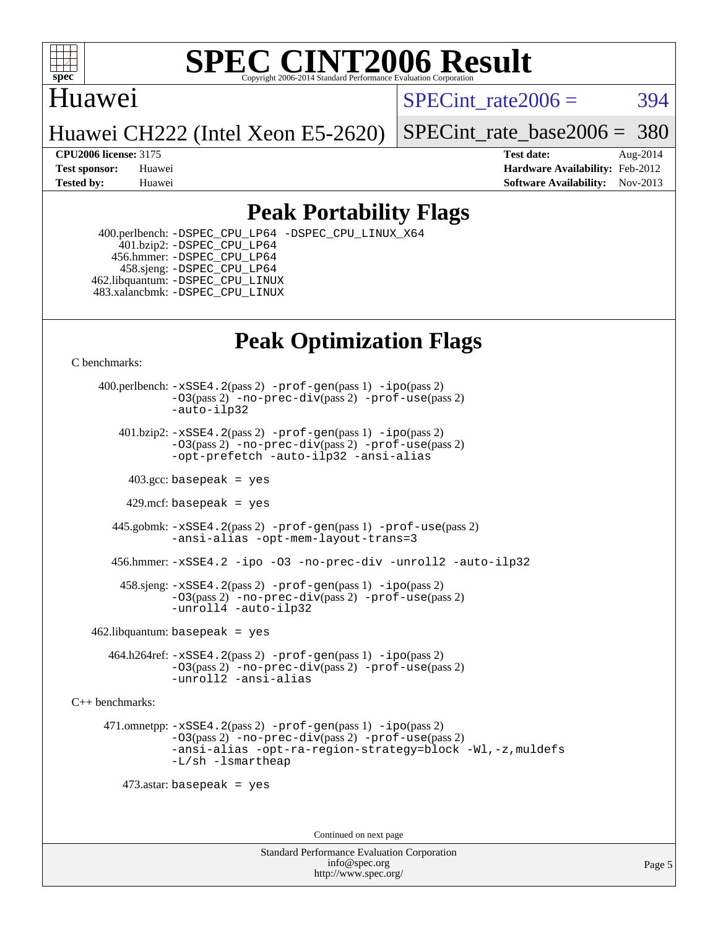

#### Huawei

SPECint rate $2006 = 394$ 

Huawei CH222 (Intel Xeon E5-2620)

[SPECint\\_rate\\_base2006 =](http://www.spec.org/auto/cpu2006/Docs/result-fields.html#SPECintratebase2006) 380

**[CPU2006 license:](http://www.spec.org/auto/cpu2006/Docs/result-fields.html#CPU2006license)** 3175 **[Test date:](http://www.spec.org/auto/cpu2006/Docs/result-fields.html#Testdate)** Aug-2014 **[Test sponsor:](http://www.spec.org/auto/cpu2006/Docs/result-fields.html#Testsponsor)** Huawei **[Hardware Availability:](http://www.spec.org/auto/cpu2006/Docs/result-fields.html#HardwareAvailability)** Feb-2012 **[Tested by:](http://www.spec.org/auto/cpu2006/Docs/result-fields.html#Testedby)** Huawei **[Software Availability:](http://www.spec.org/auto/cpu2006/Docs/result-fields.html#SoftwareAvailability)** Nov-2013

### **[Peak Portability Flags](http://www.spec.org/auto/cpu2006/Docs/result-fields.html#PeakPortabilityFlags)**

 400.perlbench: [-DSPEC\\_CPU\\_LP64](http://www.spec.org/cpu2006/results/res2014q3/cpu2006-20140807-30827.flags.html#b400.perlbench_peakCPORTABILITY_DSPEC_CPU_LP64) [-DSPEC\\_CPU\\_LINUX\\_X64](http://www.spec.org/cpu2006/results/res2014q3/cpu2006-20140807-30827.flags.html#b400.perlbench_peakCPORTABILITY_DSPEC_CPU_LINUX_X64) 401.bzip2: [-DSPEC\\_CPU\\_LP64](http://www.spec.org/cpu2006/results/res2014q3/cpu2006-20140807-30827.flags.html#suite_peakCPORTABILITY401_bzip2_DSPEC_CPU_LP64) 456.hmmer: [-DSPEC\\_CPU\\_LP64](http://www.spec.org/cpu2006/results/res2014q3/cpu2006-20140807-30827.flags.html#suite_peakCPORTABILITY456_hmmer_DSPEC_CPU_LP64) 458.sjeng: [-DSPEC\\_CPU\\_LP64](http://www.spec.org/cpu2006/results/res2014q3/cpu2006-20140807-30827.flags.html#suite_peakCPORTABILITY458_sjeng_DSPEC_CPU_LP64) 462.libquantum: [-DSPEC\\_CPU\\_LINUX](http://www.spec.org/cpu2006/results/res2014q3/cpu2006-20140807-30827.flags.html#b462.libquantum_peakCPORTABILITY_DSPEC_CPU_LINUX) 483.xalancbmk: [-DSPEC\\_CPU\\_LINUX](http://www.spec.org/cpu2006/results/res2014q3/cpu2006-20140807-30827.flags.html#b483.xalancbmk_peakCXXPORTABILITY_DSPEC_CPU_LINUX)

# **[Peak Optimization Flags](http://www.spec.org/auto/cpu2006/Docs/result-fields.html#PeakOptimizationFlags)**

[C benchmarks](http://www.spec.org/auto/cpu2006/Docs/result-fields.html#Cbenchmarks):

 400.perlbench: [-xSSE4.2](http://www.spec.org/cpu2006/results/res2014q3/cpu2006-20140807-30827.flags.html#user_peakPASS2_CFLAGSPASS2_LDCFLAGS400_perlbench_f-xSSE42_f91528193cf0b216347adb8b939d4107)(pass 2) [-prof-gen](http://www.spec.org/cpu2006/results/res2014q3/cpu2006-20140807-30827.flags.html#user_peakPASS1_CFLAGSPASS1_LDCFLAGS400_perlbench_prof_gen_e43856698f6ca7b7e442dfd80e94a8fc)(pass 1) [-ipo](http://www.spec.org/cpu2006/results/res2014q3/cpu2006-20140807-30827.flags.html#user_peakPASS2_CFLAGSPASS2_LDCFLAGS400_perlbench_f-ipo)(pass 2) [-O3](http://www.spec.org/cpu2006/results/res2014q3/cpu2006-20140807-30827.flags.html#user_peakPASS2_CFLAGSPASS2_LDCFLAGS400_perlbench_f-O3)(pass 2) [-no-prec-div](http://www.spec.org/cpu2006/results/res2014q3/cpu2006-20140807-30827.flags.html#user_peakPASS2_CFLAGSPASS2_LDCFLAGS400_perlbench_f-no-prec-div)(pass 2) [-prof-use](http://www.spec.org/cpu2006/results/res2014q3/cpu2006-20140807-30827.flags.html#user_peakPASS2_CFLAGSPASS2_LDCFLAGS400_perlbench_prof_use_bccf7792157ff70d64e32fe3e1250b55)(pass 2) [-auto-ilp32](http://www.spec.org/cpu2006/results/res2014q3/cpu2006-20140807-30827.flags.html#user_peakCOPTIMIZE400_perlbench_f-auto-ilp32)  $401.bzip2: -xSSE4.2(pass 2) -prof-qen(pass 1) -ipo(pass 2)$  $401.bzip2: -xSSE4.2(pass 2) -prof-qen(pass 1) -ipo(pass 2)$  $401.bzip2: -xSSE4.2(pass 2) -prof-qen(pass 1) -ipo(pass 2)$  $401.bzip2: -xSSE4.2(pass 2) -prof-qen(pass 1) -ipo(pass 2)$  $401.bzip2: -xSSE4.2(pass 2) -prof-qen(pass 1) -ipo(pass 2)$ [-O3](http://www.spec.org/cpu2006/results/res2014q3/cpu2006-20140807-30827.flags.html#user_peakPASS2_CFLAGSPASS2_LDCFLAGS401_bzip2_f-O3)(pass 2) [-no-prec-div](http://www.spec.org/cpu2006/results/res2014q3/cpu2006-20140807-30827.flags.html#user_peakPASS2_CFLAGSPASS2_LDCFLAGS401_bzip2_f-no-prec-div)(pass 2) [-prof-use](http://www.spec.org/cpu2006/results/res2014q3/cpu2006-20140807-30827.flags.html#user_peakPASS2_CFLAGSPASS2_LDCFLAGS401_bzip2_prof_use_bccf7792157ff70d64e32fe3e1250b55)(pass 2) [-opt-prefetch](http://www.spec.org/cpu2006/results/res2014q3/cpu2006-20140807-30827.flags.html#user_peakCOPTIMIZE401_bzip2_f-opt-prefetch) [-auto-ilp32](http://www.spec.org/cpu2006/results/res2014q3/cpu2006-20140807-30827.flags.html#user_peakCOPTIMIZE401_bzip2_f-auto-ilp32) [-ansi-alias](http://www.spec.org/cpu2006/results/res2014q3/cpu2006-20140807-30827.flags.html#user_peakCOPTIMIZE401_bzip2_f-ansi-alias)  $403.\text{sec: basepeak}$  = yes 429.mcf: basepeak = yes 445.gobmk: [-xSSE4.2](http://www.spec.org/cpu2006/results/res2014q3/cpu2006-20140807-30827.flags.html#user_peakPASS2_CFLAGSPASS2_LDCFLAGS445_gobmk_f-xSSE42_f91528193cf0b216347adb8b939d4107)(pass 2) [-prof-gen](http://www.spec.org/cpu2006/results/res2014q3/cpu2006-20140807-30827.flags.html#user_peakPASS1_CFLAGSPASS1_LDCFLAGS445_gobmk_prof_gen_e43856698f6ca7b7e442dfd80e94a8fc)(pass 1) [-prof-use](http://www.spec.org/cpu2006/results/res2014q3/cpu2006-20140807-30827.flags.html#user_peakPASS2_CFLAGSPASS2_LDCFLAGS445_gobmk_prof_use_bccf7792157ff70d64e32fe3e1250b55)(pass 2) [-ansi-alias](http://www.spec.org/cpu2006/results/res2014q3/cpu2006-20140807-30827.flags.html#user_peakCOPTIMIZE445_gobmk_f-ansi-alias) [-opt-mem-layout-trans=3](http://www.spec.org/cpu2006/results/res2014q3/cpu2006-20140807-30827.flags.html#user_peakCOPTIMIZE445_gobmk_f-opt-mem-layout-trans_a7b82ad4bd7abf52556d4961a2ae94d5) 456.hmmer: [-xSSE4.2](http://www.spec.org/cpu2006/results/res2014q3/cpu2006-20140807-30827.flags.html#user_peakCOPTIMIZE456_hmmer_f-xSSE42_f91528193cf0b216347adb8b939d4107) [-ipo](http://www.spec.org/cpu2006/results/res2014q3/cpu2006-20140807-30827.flags.html#user_peakCOPTIMIZE456_hmmer_f-ipo) [-O3](http://www.spec.org/cpu2006/results/res2014q3/cpu2006-20140807-30827.flags.html#user_peakCOPTIMIZE456_hmmer_f-O3) [-no-prec-div](http://www.spec.org/cpu2006/results/res2014q3/cpu2006-20140807-30827.flags.html#user_peakCOPTIMIZE456_hmmer_f-no-prec-div) [-unroll2](http://www.spec.org/cpu2006/results/res2014q3/cpu2006-20140807-30827.flags.html#user_peakCOPTIMIZE456_hmmer_f-unroll_784dae83bebfb236979b41d2422d7ec2) [-auto-ilp32](http://www.spec.org/cpu2006/results/res2014q3/cpu2006-20140807-30827.flags.html#user_peakCOPTIMIZE456_hmmer_f-auto-ilp32) 458.sjeng: [-xSSE4.2](http://www.spec.org/cpu2006/results/res2014q3/cpu2006-20140807-30827.flags.html#user_peakPASS2_CFLAGSPASS2_LDCFLAGS458_sjeng_f-xSSE42_f91528193cf0b216347adb8b939d4107)(pass 2) [-prof-gen](http://www.spec.org/cpu2006/results/res2014q3/cpu2006-20140807-30827.flags.html#user_peakPASS1_CFLAGSPASS1_LDCFLAGS458_sjeng_prof_gen_e43856698f6ca7b7e442dfd80e94a8fc)(pass 1) [-ipo](http://www.spec.org/cpu2006/results/res2014q3/cpu2006-20140807-30827.flags.html#user_peakPASS2_CFLAGSPASS2_LDCFLAGS458_sjeng_f-ipo)(pass 2) [-O3](http://www.spec.org/cpu2006/results/res2014q3/cpu2006-20140807-30827.flags.html#user_peakPASS2_CFLAGSPASS2_LDCFLAGS458_sjeng_f-O3)(pass 2) [-no-prec-div](http://www.spec.org/cpu2006/results/res2014q3/cpu2006-20140807-30827.flags.html#user_peakPASS2_CFLAGSPASS2_LDCFLAGS458_sjeng_f-no-prec-div)(pass 2) [-prof-use](http://www.spec.org/cpu2006/results/res2014q3/cpu2006-20140807-30827.flags.html#user_peakPASS2_CFLAGSPASS2_LDCFLAGS458_sjeng_prof_use_bccf7792157ff70d64e32fe3e1250b55)(pass 2) [-unroll4](http://www.spec.org/cpu2006/results/res2014q3/cpu2006-20140807-30827.flags.html#user_peakCOPTIMIZE458_sjeng_f-unroll_4e5e4ed65b7fd20bdcd365bec371b81f) [-auto-ilp32](http://www.spec.org/cpu2006/results/res2014q3/cpu2006-20140807-30827.flags.html#user_peakCOPTIMIZE458_sjeng_f-auto-ilp32)  $462$ .libquantum: basepeak = yes 464.h264ref: [-xSSE4.2](http://www.spec.org/cpu2006/results/res2014q3/cpu2006-20140807-30827.flags.html#user_peakPASS2_CFLAGSPASS2_LDCFLAGS464_h264ref_f-xSSE42_f91528193cf0b216347adb8b939d4107)(pass 2) [-prof-gen](http://www.spec.org/cpu2006/results/res2014q3/cpu2006-20140807-30827.flags.html#user_peakPASS1_CFLAGSPASS1_LDCFLAGS464_h264ref_prof_gen_e43856698f6ca7b7e442dfd80e94a8fc)(pass 1) [-ipo](http://www.spec.org/cpu2006/results/res2014q3/cpu2006-20140807-30827.flags.html#user_peakPASS2_CFLAGSPASS2_LDCFLAGS464_h264ref_f-ipo)(pass 2) [-O3](http://www.spec.org/cpu2006/results/res2014q3/cpu2006-20140807-30827.flags.html#user_peakPASS2_CFLAGSPASS2_LDCFLAGS464_h264ref_f-O3)(pass 2) [-no-prec-div](http://www.spec.org/cpu2006/results/res2014q3/cpu2006-20140807-30827.flags.html#user_peakPASS2_CFLAGSPASS2_LDCFLAGS464_h264ref_f-no-prec-div)(pass 2) [-prof-use](http://www.spec.org/cpu2006/results/res2014q3/cpu2006-20140807-30827.flags.html#user_peakPASS2_CFLAGSPASS2_LDCFLAGS464_h264ref_prof_use_bccf7792157ff70d64e32fe3e1250b55)(pass 2) [-unroll2](http://www.spec.org/cpu2006/results/res2014q3/cpu2006-20140807-30827.flags.html#user_peakCOPTIMIZE464_h264ref_f-unroll_784dae83bebfb236979b41d2422d7ec2) [-ansi-alias](http://www.spec.org/cpu2006/results/res2014q3/cpu2006-20140807-30827.flags.html#user_peakCOPTIMIZE464_h264ref_f-ansi-alias)

[C++ benchmarks:](http://www.spec.org/auto/cpu2006/Docs/result-fields.html#CXXbenchmarks)

 471.omnetpp: [-xSSE4.2](http://www.spec.org/cpu2006/results/res2014q3/cpu2006-20140807-30827.flags.html#user_peakPASS2_CXXFLAGSPASS2_LDCXXFLAGS471_omnetpp_f-xSSE42_f91528193cf0b216347adb8b939d4107)(pass 2) [-prof-gen](http://www.spec.org/cpu2006/results/res2014q3/cpu2006-20140807-30827.flags.html#user_peakPASS1_CXXFLAGSPASS1_LDCXXFLAGS471_omnetpp_prof_gen_e43856698f6ca7b7e442dfd80e94a8fc)(pass 1) [-ipo](http://www.spec.org/cpu2006/results/res2014q3/cpu2006-20140807-30827.flags.html#user_peakPASS2_CXXFLAGSPASS2_LDCXXFLAGS471_omnetpp_f-ipo)(pass 2) [-O3](http://www.spec.org/cpu2006/results/res2014q3/cpu2006-20140807-30827.flags.html#user_peakPASS2_CXXFLAGSPASS2_LDCXXFLAGS471_omnetpp_f-O3)(pass 2) [-no-prec-div](http://www.spec.org/cpu2006/results/res2014q3/cpu2006-20140807-30827.flags.html#user_peakPASS2_CXXFLAGSPASS2_LDCXXFLAGS471_omnetpp_f-no-prec-div)(pass 2) [-prof-use](http://www.spec.org/cpu2006/results/res2014q3/cpu2006-20140807-30827.flags.html#user_peakPASS2_CXXFLAGSPASS2_LDCXXFLAGS471_omnetpp_prof_use_bccf7792157ff70d64e32fe3e1250b55)(pass 2) [-ansi-alias](http://www.spec.org/cpu2006/results/res2014q3/cpu2006-20140807-30827.flags.html#user_peakCXXOPTIMIZE471_omnetpp_f-ansi-alias) [-opt-ra-region-strategy=block](http://www.spec.org/cpu2006/results/res2014q3/cpu2006-20140807-30827.flags.html#user_peakCXXOPTIMIZE471_omnetpp_f-opt-ra-region-strategy_a0a37c372d03933b2a18d4af463c1f69) [-Wl,-z,muldefs](http://www.spec.org/cpu2006/results/res2014q3/cpu2006-20140807-30827.flags.html#user_peakEXTRA_LDFLAGS471_omnetpp_link_force_multiple1_74079c344b956b9658436fd1b6dd3a8a) [-L/sh -lsmartheap](http://www.spec.org/cpu2006/results/res2014q3/cpu2006-20140807-30827.flags.html#user_peakEXTRA_LIBS471_omnetpp_SmartHeap_32f6c82aa1ed9c52345d30cf6e4a0499)

473.astar: basepeak = yes

Continued on next page